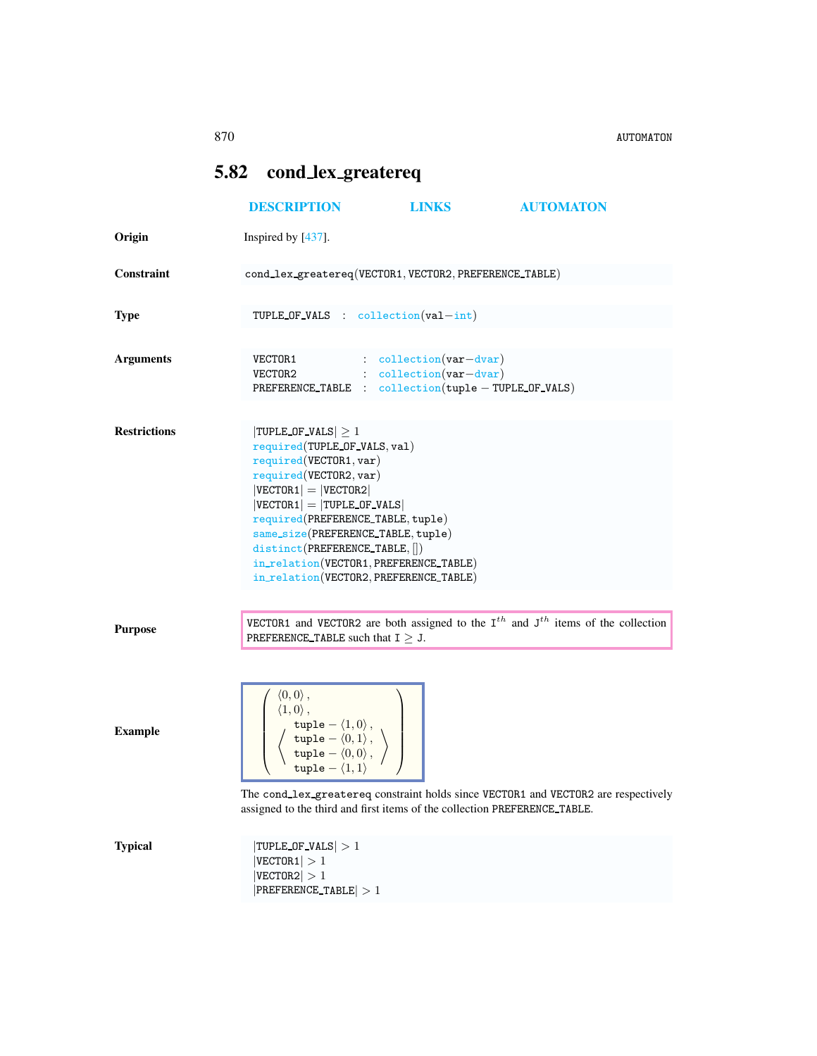## <span id="page-0-0"></span>5.82 cond lex greatereq

|                     | <b>DESCRIPTION</b>                                                                                                                                                                                                                                                                                                                                                         | <b>LINKS</b>                       | <b>AUTOMATON</b>                                                                           |  |
|---------------------|----------------------------------------------------------------------------------------------------------------------------------------------------------------------------------------------------------------------------------------------------------------------------------------------------------------------------------------------------------------------------|------------------------------------|--------------------------------------------------------------------------------------------|--|
| Origin              | Inspired by [437].                                                                                                                                                                                                                                                                                                                                                         |                                    |                                                                                            |  |
| Constraint          | cond_lex_greatereq(VECTOR1, VECTOR2, PREFERENCE_TABLE)                                                                                                                                                                                                                                                                                                                     |                                    |                                                                                            |  |
| <b>Type</b>         | TUPLE OF VALS : $\text{collection}(val-int)$                                                                                                                                                                                                                                                                                                                               |                                    |                                                                                            |  |
| <b>Arguments</b>    | VECTOR1<br>$VECTOR2$ : $\text{collection}(var-dvar)$<br>PREFERENCE_TABLE : collection(tuple - TUPLE_OF_VALS)                                                                                                                                                                                                                                                               | $\therefore$ collection (var-dvar) |                                                                                            |  |
| <b>Restrictions</b> | $ TUPLE_OF_VALS  \geq 1$<br>required(TUPLE_OF_VALS, val)<br>required(VECTOR1, var)<br>required(VECTOR2, var)<br>$ VECTOR1  =  VECTOR2 $<br>$ VECTOR1  =  T UPLE_OF_VALS $<br>required(PREFERENCE_TABLE, tuple)<br>same_size(PREFERENCE_TABLE, tuple)<br>distinct(PREFERENCE_TABLE, [])<br>in_relation(VECTOR1, PREFERENCE_TABLE)<br>in_relation(VECTOR2, PREFERENCE_TABLE) |                                    |                                                                                            |  |
| <b>Purpose</b>      | PREFERENCE_TABLE such that $I \geq J$ .                                                                                                                                                                                                                                                                                                                                    |                                    | VECTOR1 and VECTOR2 are both assigned to the $I^{th}$ and $J^{th}$ items of the collection |  |
| <b>Example</b>      | $\langle 0,0\rangle$ ,<br>$\langle 1,0\rangle$ ,<br>$\left\langle \begin{array}{c} \text{tuple} = \langle 1,0\rangle\,,\\ \text{tuple} = \langle 0,1\rangle\,,\\ \text{tuple} = \langle 0,0\rangle\,, \end{array} \right\rangle$<br>tuple $-\langle 1,1\rangle$<br>assigned to the third and first items of the collection PREFERENCE_TABLE.                               |                                    | The cond_lex_greatereq constraint holds since VECTOR1 and VECTOR2 are respectively         |  |
| <b>Typical</b>      | $ TUPLE_OF_VALS  > 1$<br> VECTOR1  > 1<br>$ {\tt VECTOR2}  > 1$<br>$ PREFERENCE_TABLE  > 1$                                                                                                                                                                                                                                                                                |                                    |                                                                                            |  |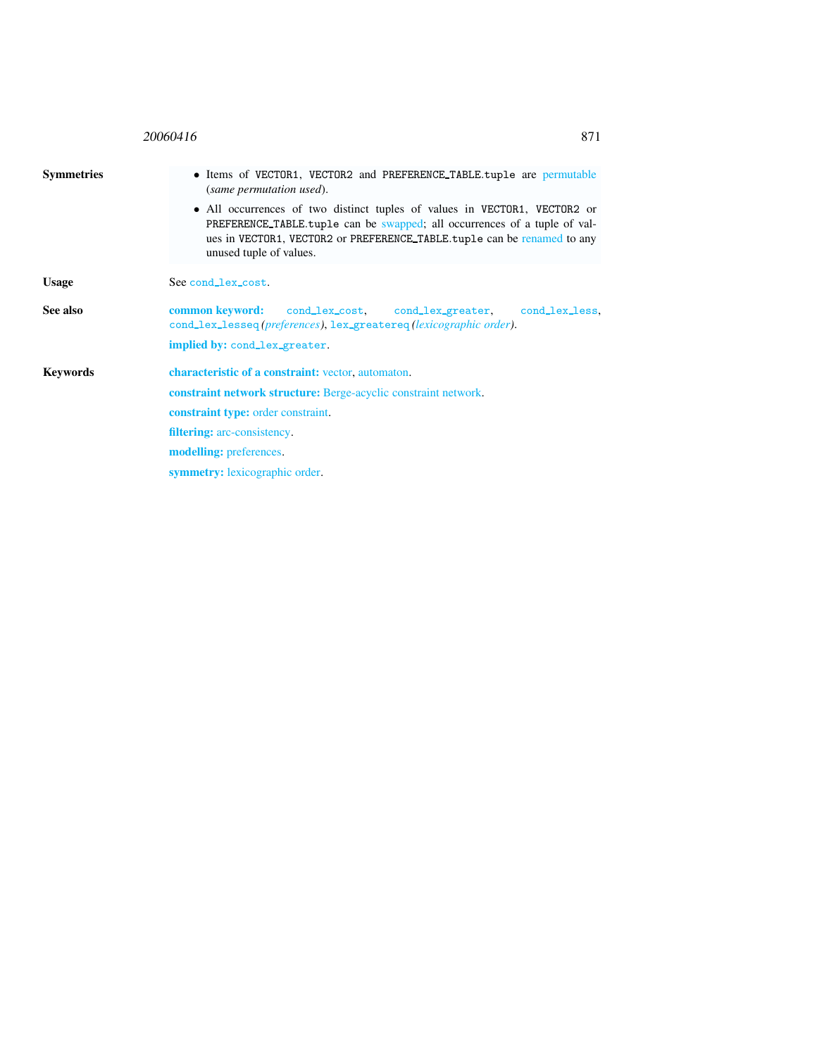<span id="page-1-0"></span>

| 20060416<br>871                                                                                                                                                                                                                                                                                                                                                   |  |  |
|-------------------------------------------------------------------------------------------------------------------------------------------------------------------------------------------------------------------------------------------------------------------------------------------------------------------------------------------------------------------|--|--|
| • Items of VECTOR1, VECTOR2 and PREFERENCE_TABLE.tuple are permutable<br>(same permutation used).<br>• All occurrences of two distinct tuples of values in VECTOR1, VECTOR2 or<br>PREFERENCE_TABLE.tuple can be swapped; all occurrences of a tuple of val-<br>ues in VECTOR1, VECTOR2 or PREFERENCE_TABLE.tuple can be renamed to any<br>unused tuple of values. |  |  |
| See cond_lex_cost.                                                                                                                                                                                                                                                                                                                                                |  |  |
| common keyword:<br>cond_lex_cost, cond_lex_greater, cond_lex_less,<br>cond_lex_lesseq(preferences), lex_greatereq(lexicographic order).                                                                                                                                                                                                                           |  |  |
| implied by: cond_lex_greater.<br>characteristic of a constraint: vector, automaton.<br><b>constraint network structure:</b> Berge-acyclic constraint network.<br><b>constraint type:</b> order constraint.<br><b>filtering:</b> arc-consistency.<br><b>modelling:</b> preferences.<br><b>symmetry:</b> lexicographic order.                                       |  |  |
|                                                                                                                                                                                                                                                                                                                                                                   |  |  |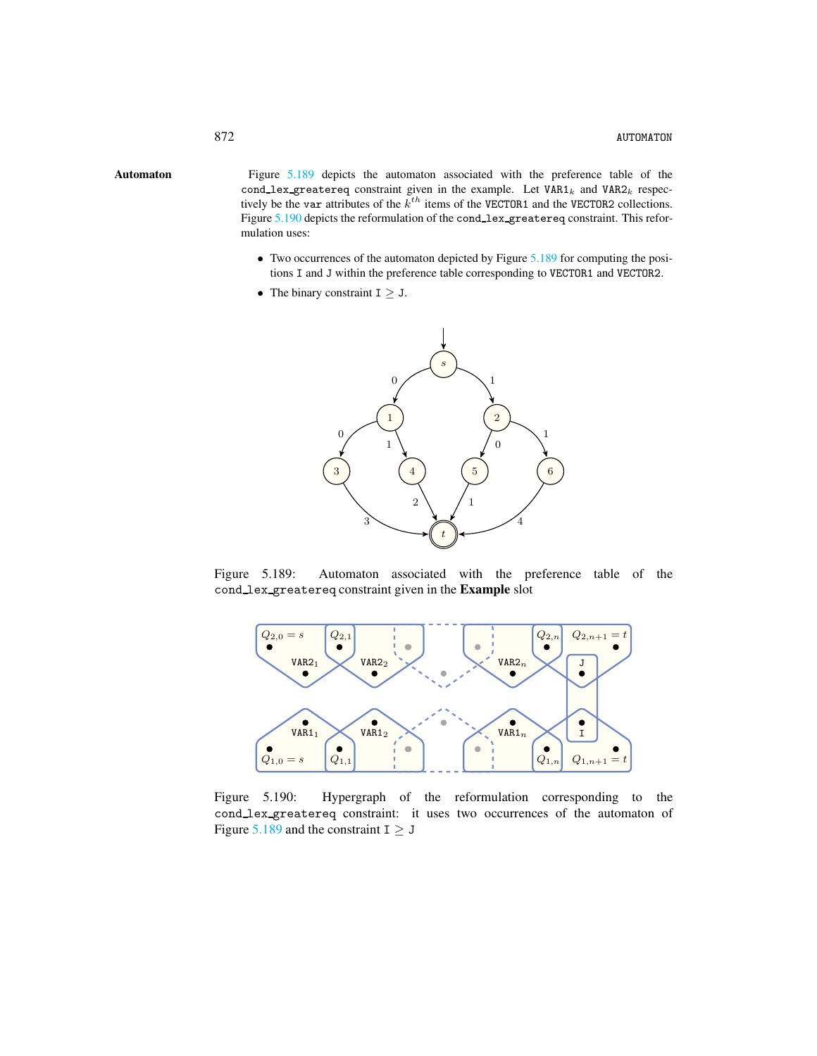Automaton Figure [5.189](#page-2-1) depicts the automaton associated with the preference table of the cond\_lex\_greatereq constraint given in the example. Let  $VAR1_k$  and  $VAR2_k$  respectively be the var attributes of the  $k^{th}$  items of the VECTOR1 and the VECTOR2 collections. Figure [5.190](#page-2-2) depicts the reformulation of the cond\_lex\_greatereq constraint. This reformulation uses:

- <span id="page-2-0"></span>• Two occurrences of the automaton depicted by Figure [5.189](#page-2-1) for computing the positions I and J within the preference table corresponding to VECTOR1 and VECTOR2.
- The binary constraint  $I \geq J$ .



Figure 5.189: Automaton associated with the preference table of the cond lex greatereq constraint given in the Example slot

<span id="page-2-1"></span>

<span id="page-2-2"></span>Figure 5.190: Hypergraph of the reformulation corresponding to the cond lex greatereq constraint: it uses two occurrences of the automaton of Figure [5.189](#page-2-1) and the constraint  $I \geq J$